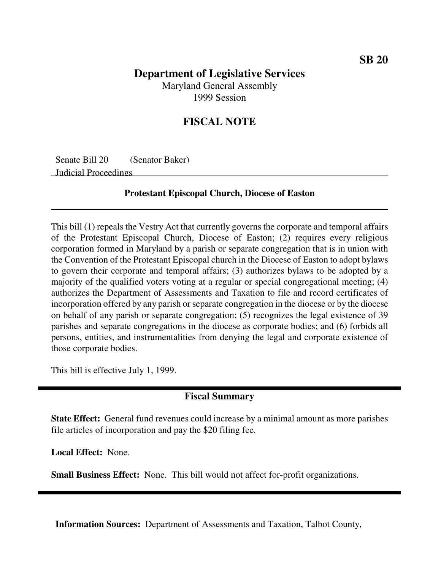# **Department of Legislative Services**

Maryland General Assembly 1999 Session

### **FISCAL NOTE**

Senate Bill 20 (Senator Baker) Judicial Proceedings

#### **Protestant Episcopal Church, Diocese of Easton**

This bill (1) repeals the Vestry Act that currently governs the corporate and temporal affairs of the Protestant Episcopal Church, Diocese of Easton; (2) requires every religious corporation formed in Maryland by a parish or separate congregation that is in union with the Convention of the Protestant Episcopal church in the Diocese of Easton to adopt bylaws to govern their corporate and temporal affairs; (3) authorizes bylaws to be adopted by a majority of the qualified voters voting at a regular or special congregational meeting; (4) authorizes the Department of Assessments and Taxation to file and record certificates of incorporation offered by any parish or separate congregation in the diocese or by the diocese on behalf of any parish or separate congregation; (5) recognizes the legal existence of 39 parishes and separate congregations in the diocese as corporate bodies; and (6) forbids all persons, entities, and instrumentalities from denying the legal and corporate existence of those corporate bodies.

This bill is effective July 1, 1999.

#### **Fiscal Summary**

**State Effect:** General fund revenues could increase by a minimal amount as more parishes file articles of incorporation and pay the \$20 filing fee.

**Local Effect:** None.

**Small Business Effect:** None. This bill would not affect for-profit organizations.

**Information Sources:** Department of Assessments and Taxation, Talbot County,